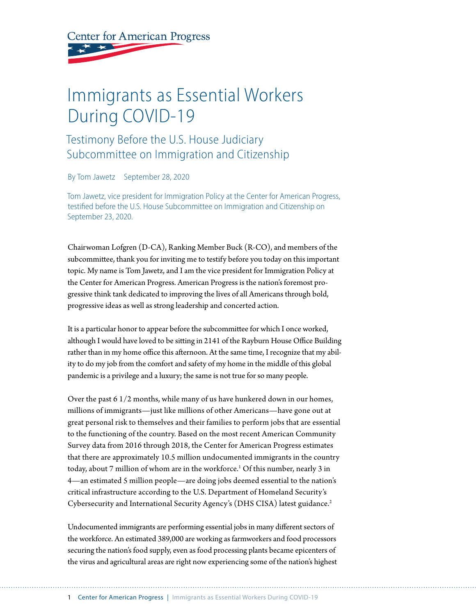**Center for American Progress** 

## Immigrants as Essential Workers During COVID-19

## Testimony Before the U.S. House Judiciary Subcommittee on Immigration and Citizenship

By Tom Jawetz September 28, 2020

Tom Jawetz, vice president for Immigration Policy at the Center for American Progress, testified before the U.S. House Subcommittee on Immigration and Citizenship on September 23, 2020.

Chairwoman Lofgren (D-CA), Ranking Member Buck (R-CO), and members of the subcommittee, thank you for inviting me to testify before you today on this important topic. My name is Tom Jawetz, and I am the vice president for Immigration Policy at the Center for American Progress. American Progress is the nation's foremost progressive think tank dedicated to improving the lives of all Americans through bold, progressive ideas as well as strong leadership and concerted action.

It is a particular honor to appear before the subcommittee for which I once worked, although I would have loved to be sitting in 2141 of the Rayburn House Office Building rather than in my home office this afternoon. At the same time, I recognize that my ability to do my job from the comfort and safety of my home in the middle of this global pandemic is a privilege and a luxury; the same is not true for so many people.

Over the past 6 1/2 months, while many of us have hunkered down in our homes, millions of immigrants—just like millions of other Americans—have gone out at great personal risk to themselves and their families to perform jobs that are essential to the functioning of the country. Based on the most recent American Community Survey data from 2016 through 2018, the Center for American Progress estimates that there are approximately 10.5 million undocumented immigrants in the country today, about 7 million of whom are in the workforce.<sup>1</sup> Of this number, nearly 3 in 4—an estimated 5 million people—are doing jobs deemed essential to the nation's critical infrastructure according to the U.S. Department of Homeland Security's Cybersecurity and International Security Agency's (DHS CISA) latest guidance.2

Undocumented immigrants are performing essential jobs in many different sectors of the workforce. An estimated 389,000 are working as farmworkers and food processors securing the nation's food supply, even as food processing plants became epicenters of the virus and agricultural areas are right now experiencing some of the nation's highest

1 Center for American Progress | Immigrants as Essential Workers During COVID-19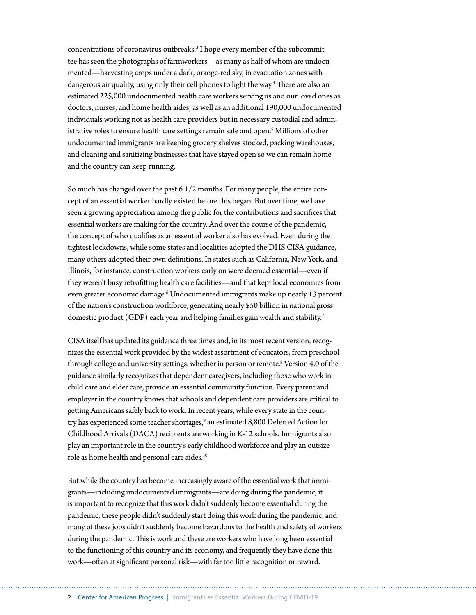concentrations of coronavirus outbreaks.<sup>3</sup> I hope every member of the subcommittee has seen the photographs of farmworkers—as many as half of whom are undocumented—harvesting crops under a dark, orange-red sky, in evacuation zones with dangerous air quality, using only their cell phones to light the way.4 There are also an estimated 225,000 undocumented health care workers serving us and our loved ones as doctors, nurses, and home health aides, as well as an additional 190,000 undocumented individuals working not as health care providers but in necessary custodial and administrative roles to ensure health care settings remain safe and open.5 Millions of other undocumented immigrants are keeping grocery shelves stocked, packing warehouses, and cleaning and sanitizing businesses that have stayed open so we can remain home and the country can keep running.

So much has changed over the past 6 1/2 months. For many people, the entire concept of an essential worker hardly existed before this began. But over time, we have seen a growing appreciation among the public for the contributions and sacrifices that essential workers are making for the country. And over the course of the pandemic, the concept of who qualifies as an essential worker also has evolved. Even during the tightest lockdowns, while some states and localities adopted the DHS CISA guidance, many others adopted their own definitions. In states such as California, New York, and Illinois, for instance, construction workers early on were deemed essential—even if they weren't busy retrofitting health care facilities—and that kept local economies from even greater economic damage.<sup>6</sup> Undocumented immigrants make up nearly 13 percent of the nation's construction workforce, generating nearly \$50 billion in national gross domestic product (GDP) each year and helping families gain wealth and stability.<sup>7</sup>

CISA itself has updated its guidance three times and, in its most recent version, recognizes the essential work provided by the widest assortment of educators, from preschool through college and university settings, whether in person or remote.<sup>8</sup> Version 4.0 of the guidance similarly recognizes that dependent caregivers, including those who work in child care and elder care, provide an essential community function. Every parent and employer in the country knows that schools and dependent care providers are critical to getting Americans safely back to work. In recent years, while every state in the country has experienced some teacher shortages,<sup>9</sup> an estimated 8,800 Deferred Action for Childhood Arrivals (DACA) recipients are working in K-12 schools. Immigrants also play an important role in the country's early childhood workforce and play an outsize role as home health and personal care aides.10

But while the country has become increasingly aware of the essential work that immigrants—including undocumented immigrants—are doing during the pandemic, it is important to recognize that this work didn't suddenly become essential during the pandemic, these people didn't suddenly start doing this work during the pandemic, and many of these jobs didn't suddenly become hazardous to the health and safety of workers during the pandemic. This is work and these are workers who have long been essential to the functioning of this country and its economy, and frequently they have done this work—often at significant personal risk—with far too little recognition or reward.

2 Center for American Progress | Immigrants as Essential Workers During COVID-19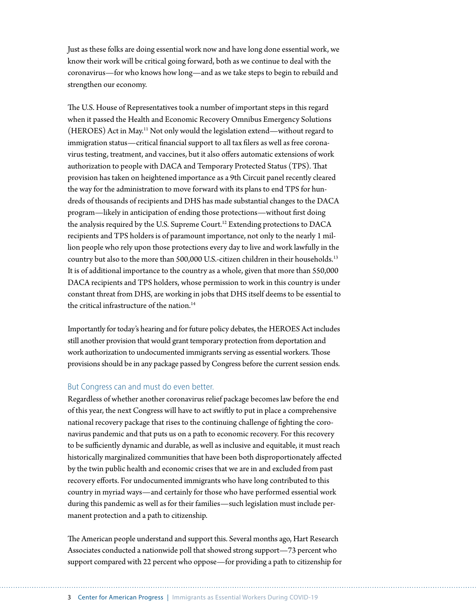Just as these folks are doing essential work now and have long done essential work, we know their work will be critical going forward, both as we continue to deal with the coronavirus—for who knows how long—and as we take steps to begin to rebuild and strengthen our economy.

The U.S. House of Representatives took a number of important steps in this regard when it passed the Health and Economic Recovery Omnibus Emergency Solutions (HEROES) Act in May.11 Not only would the legislation extend—without regard to immigration status—critical financial support to all tax filers as well as free coronavirus testing, treatment, and vaccines, but it also offers automatic extensions of work authorization to people with DACA and Temporary Protected Status (TPS). That provision has taken on heightened importance as a 9th Circuit panel recently cleared the way for the administration to move forward with its plans to end TPS for hundreds of thousands of recipients and DHS has made substantial changes to the DACA program—likely in anticipation of ending those protections—without first doing the analysis required by the U.S. Supreme Court.<sup>12</sup> Extending protections to DACA recipients and TPS holders is of paramount importance, not only to the nearly 1 million people who rely upon those protections every day to live and work lawfully in the country but also to the more than 500,000 U.S.-citizen children in their households.13 It is of additional importance to the country as a whole, given that more than 550,000 DACA recipients and TPS holders, whose permission to work in this country is under constant threat from DHS, are working in jobs that DHS itself deems to be essential to the critical infrastructure of the nation. $14$ 

Importantly for today's hearing and for future policy debates, the HEROES Act includes still another provision that would grant temporary protection from deportation and work authorization to undocumented immigrants serving as essential workers. Those provisions should be in any package passed by Congress before the current session ends.

## But Congress can and must do even better.

Regardless of whether another coronavirus relief package becomes law before the end of this year, the next Congress will have to act swiftly to put in place a comprehensive national recovery package that rises to the continuing challenge of fighting the coronavirus pandemic and that puts us on a path to economic recovery. For this recovery to be sufficiently dynamic and durable, as well as inclusive and equitable, it must reach historically marginalized communities that have been both disproportionately affected by the twin public health and economic crises that we are in and excluded from past recovery efforts. For undocumented immigrants who have long contributed to this country in myriad ways—and certainly for those who have performed essential work during this pandemic as well as for their families—such legislation must include permanent protection and a path to citizenship.

The American people understand and support this. Several months ago, Hart Research Associates conducted a nationwide poll that showed strong support—73 percent who support compared with 22 percent who oppose—for providing a path to citizenship for

3 Center for American Progress | Immigrants as Essential Workers During COVID-19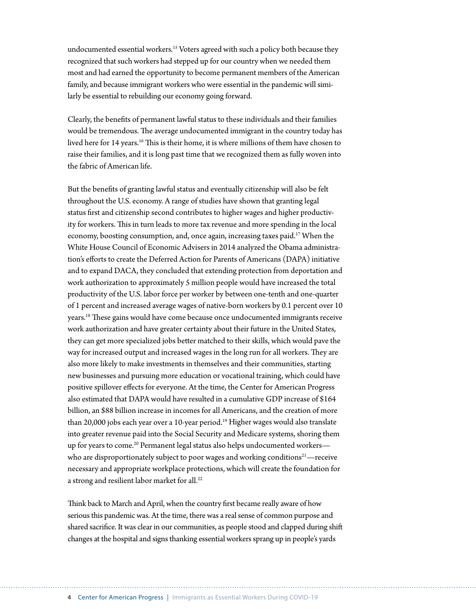undocumented essential workers.15 Voters agreed with such a policy both because they recognized that such workers had stepped up for our country when we needed them most and had earned the opportunity to become permanent members of the American family, and because immigrant workers who were essential in the pandemic will similarly be essential to rebuilding our economy going forward.

Clearly, the benefits of permanent lawful status to these individuals and their families would be tremendous. The average undocumented immigrant in the country today has lived here for 14 years.16 This is their home, it is where millions of them have chosen to raise their families, and it is long past time that we recognized them as fully woven into the fabric of American life.

But the benefits of granting lawful status and eventually citizenship will also be felt throughout the U.S. economy. A range of studies have shown that granting legal status first and citizenship second contributes to higher wages and higher productivity for workers. This in turn leads to more tax revenue and more spending in the local economy, boosting consumption, and, once again, increasing taxes paid.<sup>17</sup> When the White House Council of Economic Advisers in 2014 analyzed the Obama administration's efforts to create the Deferred Action for Parents of Americans (DAPA) initiative and to expand DACA, they concluded that extending protection from deportation and work authorization to approximately 5 million people would have increased the total productivity of the U.S. labor force per worker by between one-tenth and one-quarter of 1 percent and increased average wages of native-born workers by 0.1 percent over 10 years.18 These gains would have come because once undocumented immigrants receive work authorization and have greater certainty about their future in the United States, they can get more specialized jobs better matched to their skills, which would pave the way for increased output and increased wages in the long run for all workers. They are also more likely to make investments in themselves and their communities, starting new businesses and pursuing more education or vocational training, which could have positive spillover effects for everyone. At the time, the Center for American Progress also estimated that DAPA would have resulted in a cumulative GDP increase of \$164 billion, an \$88 billion increase in incomes for all Americans, and the creation of more than 20,000 jobs each year over a 10-year period.<sup>19</sup> Higher wages would also translate into greater revenue paid into the Social Security and Medicare systems, shoring them up for years to come.<sup>20</sup> Permanent legal status also helps undocumented workers who are disproportionately subject to poor wages and working conditions<sup>21</sup>—receive necessary and appropriate workplace protections, which will create the foundation for a strong and resilient labor market for all.<sup>22</sup>

Think back to March and April, when the country first became really aware of how serious this pandemic was. At the time, there was a real sense of common purpose and shared sacrifice. It was clear in our communities, as people stood and clapped during shift changes at the hospital and signs thanking essential workers sprang up in people's yards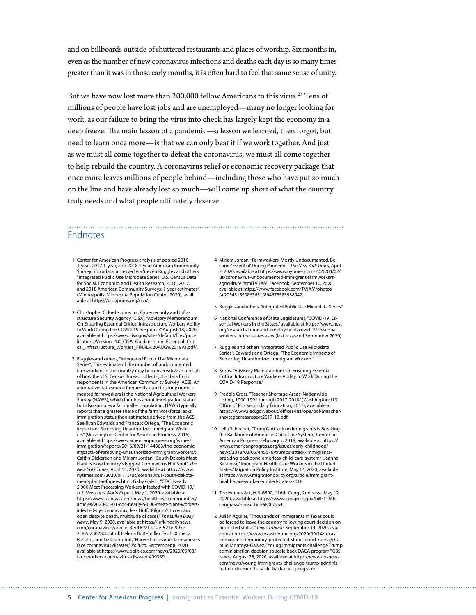and on billboards outside of shuttered restaurants and places of worship. Six months in, even as the number of new coronavirus infections and deaths each day is so many times greater than it was in those early months, it is often hard to feel that same sense of unity.

But we have now lost more than 200,000 fellow Americans to this virus.<sup>23</sup> Tens of millions of people have lost jobs and are unemployed—many no longer looking for work, as our failure to bring the virus into check has largely kept the economy in a deep freeze. The main lesson of a pandemic—a lesson we learned, then forgot, but need to learn once more—is that we can only beat it if we work together. And just as we must all come together to defeat the coronavirus, we must all come together to help rebuild the country. A coronavirus relief or economic recovery package that once more leaves millions of people behind—including those who have put so much on the line and have already lost so much—will come up short of what the country truly needs and what people ultimately deserve.

## Endnotes

- 1 Center for American Progress analysis of pooled 2016 1-year, 2017 1-year, and 2018 1-year American Community Survey microdata, accessed via Steven Ruggles and others, "Integrated Public Use Microdata Series, U.S. Census Data for Social, Economic, and Health Research, 2016, 2017, and 2018 American Community Surveys: 1-year estimates" (Minneapolis: Minnesota Population Center, 2020), available at <https://usa.ipums.org/usa/>.
- 2 Christopher C. Krebs, director, Cybersecurity and Infrastructure Security Agency (CISA), "Advisory Memorandum On Ensuring Essential Critical Infrastructure Workers Ability to Work During the COVID-19 Response," August 18, 2020, available at [https://www.cisa.gov/sites/default/files/pub](https://www.cisa.gov/sites/default/files/publications/Version_4.0_CISA_Guidance_on_Essential_Critical_Infrastructure_Workers_FINAL%20AUG%2018v3.pdf)[lications/Version\\_4.0\\_CISA\\_Guidance\\_on\\_Essential\\_Criti](https://www.cisa.gov/sites/default/files/publications/Version_4.0_CISA_Guidance_on_Essential_Critical_Infrastructure_Workers_FINAL%20AUG%2018v3.pdf)[cal\\_Infrastructure\\_Workers\\_FINAL%20AUG%2018v3.pdf/](https://www.cisa.gov/sites/default/files/publications/Version_4.0_CISA_Guidance_on_Essential_Critical_Infrastructure_Workers_FINAL%20AUG%2018v3.pdf).
- 3 Ruggles and others, "Integrated Public Use Microdata Series"; This estimate of the number of undocumented farmworkers in the country may be conservative as a result of how the U.S. Census Bureau collects jobs data from respondents in the American Community Survey (ACS). An alternative data source frequently used to study undocumented farmworkers is the National Agricultural Workers Survey (NAWS), which inquires about immigration status but also samples a far smaller population. NAWS typically reports that a greater share of the farm workforce lacks immigration status than estimates derived from the ACS. See Ryan Edwards and Francesc Ortega, "The Economic Impacts of Removing Unauthorized Immigrant Workers" (Washington: Center for American Progress, 2016), available at [https://www.americanprogress.org/issues/](https://www.americanprogress.org/issues/immigration/reports/2016/09/21/144363/the-economic-impacts-of-removing-unauthorized-immigrant-workers/) [immigration/reports/2016/09/21/144363/the-economic](https://www.americanprogress.org/issues/immigration/reports/2016/09/21/144363/the-economic-impacts-of-removing-unauthorized-immigrant-workers/)[impacts-of-removing-unauthorized-immigrant-workers/;](https://www.americanprogress.org/issues/immigration/reports/2016/09/21/144363/the-economic-impacts-of-removing-unauthorized-immigrant-workers/) Caitlin Dickerson and Miriam Jordan, "South Dakota Meat Plant Is Now Country's Biggest Coronavirus Hot Spot," *The New York Times*, April 15, 2020, available at [https://www.](https://www.nytimes.com/2020/04/15/us/coronavirus-south-dakota-meat-plant-refugees.html?searchResultPosition=3) [nytimes.com/2020/04/15/us/coronavirus-south-dakota](https://www.nytimes.com/2020/04/15/us/coronavirus-south-dakota-meat-plant-refugees.html?searchResultPosition=3)[meat-plant-refugees.html](https://www.nytimes.com/2020/04/15/us/coronavirus-south-dakota-meat-plant-refugees.html?searchResultPosition=3); Gaby Galvin, "CDC: Nearly 5,000 Meat Processing Workers Infected with COVID-19," *U.S. News and World Report*, May 1, 2020, available at [https://www.usnews.com/news/healthiest-communities/](https://www.usnews.com/news/healthiest-communities/articles/2020-05-01/cdc-nearly-5-000-meat-plant-workers-infected-by-coronavirus) [articles/2020-05-01/cdc-nearly-5-000-meat-plant-workers](https://www.usnews.com/news/healthiest-communities/articles/2020-05-01/cdc-nearly-5-000-meat-plant-workers-infected-by-coronavirus)[infected-by-coronavirus;](https://www.usnews.com/news/healthiest-communities/articles/2020-05-01/cdc-nearly-5-000-meat-plant-workers-infected-by-coronavirus) Jess Huff, "Pilgrim's to remain open despite death, multitude of cases," *The Lufkin Daily News*, May 9, 2020, available at [https://lufkindailynews.](https://lufkindailynews.com/coronavirus/article_3ec18f99-b12e-521e-995e-2c82d230280b.html) [com/coronavirus/article\\_3ec18f99-b12e-521e-995e-](https://lufkindailynews.com/coronavirus/article_3ec18f99-b12e-521e-995e-2c82d230280b.html)[2c82d230280b.html](https://lufkindailynews.com/coronavirus/article_3ec18f99-b12e-521e-995e-2c82d230280b.html); Helena Bottemiller Evich, Ximena Bustillo, and Liz Crampton, "Harvest of shame: farmworkers face coronavirus disaster," *Politico*, September 8, 2020, available at [https://www.politico.com/news/2020/09/08/](https://www.politico.com/news/2020/09/08/farmworkers-coronavirus-disaster-409339) [farmworkers-coronavirus-disaster-409339.](https://www.politico.com/news/2020/09/08/farmworkers-coronavirus-disaster-409339)
- 4 Miriam Jordan, "Farmworkers, Mostly Undocumented, Become 'Essential' During Pandemic," *The New York Times*, April 2, 2020, available at [https://www.nytimes.com/2020/04/02/](https://www.nytimes.com/2020/04/02/us/coronavirus-undocumented-immigrant-farmworkers-agriculture.html) [us/coronavirus-undocumented-immigrant-farmworkers](https://www.nytimes.com/2020/04/02/us/coronavirus-undocumented-immigrant-farmworkers-agriculture.html)[agriculture.html](https://www.nytimes.com/2020/04/02/us/coronavirus-undocumented-immigrant-farmworkers-agriculture.html)TV JAM; Facebook, September 10, 2020, available at [https://www.facebook.com/TVJAM/photos](https://www.facebook.com/TVJAM/photos/a.205431559863651/864678583938942) [/a.205431559863651/864678583938942.](https://www.facebook.com/TVJAM/photos/a.205431559863651/864678583938942)
- 5 Ruggles and others, "Integrated Public Use Microdata Series."
- 6 National Conference of State Legislatures, "COVID-19: Essential Workers in the States," available at [https://www.ncsl.](https://www.ncsl.org/research/labor-and-employment/covid-19-essential-workers-in-the-states.aspx) [org/research/labor-and-employment/covid-19-essential](https://www.ncsl.org/research/labor-and-employment/covid-19-essential-workers-in-the-states.aspx)[workers-in-the-states.aspx](https://www.ncsl.org/research/labor-and-employment/covid-19-essential-workers-in-the-states.aspx) (last accessed September 2020).
- 7 Ruggles and others "Integrated Public Use Microdata Series"; Edwards and Ortega, "The Economic Impacts of Removing Unauthorized Immigrant Workers."
- 8 Krebs*,* "Advisory Memorandum On Ensuring Essential Critical Infrastructure Workers Ability to Work During the COVID-19 Response."
- 9 Freddie Cross, "Teacher Shortage Areas: Nationwide Listing, 1990-1991 through 2017-2018" (Washington: U.S. Office of Postsecondary Education, 2017), available at [https://www2.ed.gov/about/offices/list/ope/pol/ateacher](https://www2.ed.gov/about/offices/list/ope/pol/ateachershortageareasreport2017-18.pdf)[shortageareasreport2017-18.pdf.](https://www2.ed.gov/about/offices/list/ope/pol/ateachershortageareasreport2017-18.pdf)
- 10 Leila Schochet, "Trump's Attack on Immigrants Is Breaking the Backbone of America's Child Care System," Center for American Progress, February 5, 2018, available at [https://](https://www.americanprogress.org/issues/early-childhood/news/2018/02/05/445676/trumps-attack-immigrants-breaking-backbone-americas-child-care-system/) [www.americanprogress.org/issues/early-childhood/](https://www.americanprogress.org/issues/early-childhood/news/2018/02/05/445676/trumps-attack-immigrants-breaking-backbone-americas-child-care-system/) [news/2018/02/05/445676/trumps-attack-immigrants](https://www.americanprogress.org/issues/early-childhood/news/2018/02/05/445676/trumps-attack-immigrants-breaking-backbone-americas-child-care-system/)[breaking-backbone-americas-child-care-system/;](https://www.americanprogress.org/issues/early-childhood/news/2018/02/05/445676/trumps-attack-immigrants-breaking-backbone-americas-child-care-system/) Jeanne Batalova, "Immigrant Health-Care Workers in the United States," Migration Policy Institute, May 14, 2020, available at [https://www.migrationpolicy.org/article/immigrant](https://www.migrationpolicy.org/article/immigrant-health-care-workers-united-states-2018)[health-care-workers-united-states-2018](https://www.migrationpolicy.org/article/immigrant-health-care-workers-united-states-2018).
- 11 The Heroes Act, H.R. 6800, 116th Cong., 2nd sess. (May 12, 2020), available at [https://www.congress.gov/bill/116th](https://www.congress.gov/bill/116th-congress/house-bill/6800/text)[congress/house-bill/6800/text.](https://www.congress.gov/bill/116th-congress/house-bill/6800/text)
- 12 Julián Aguilar, "Thousands of immigrants in Texas could be forced to leave the country following court decision on protected status," *Texas Tribune*, September 14, 2020, available at [https://www.texastribune.org/2020/09/14/texas](https://www.texastribune.org/2020/09/14/texas-immigrants-temporary-protected-status-court-ruling/)[immigrants-temporary-protected-status-court-ruling/](https://www.texastribune.org/2020/09/14/texas-immigrants-temporary-protected-status-court-ruling/); Camilo Montoya-Galvez, "Young immigrants challenge Trump administration decision to scale back DACA program," CBS News, August 28, 2020, available at [https://www.cbsnews.](https://www.cbsnews.com/news/young-immigrants-challenge-trump-administration-decision-to-scale-back-daca-program/) [com/news/young-immigrants-challenge-trump-adminis](https://www.cbsnews.com/news/young-immigrants-challenge-trump-administration-decision-to-scale-back-daca-program/)[tration-decision-to-scale-back-daca-program/.](https://www.cbsnews.com/news/young-immigrants-challenge-trump-administration-decision-to-scale-back-daca-program/)